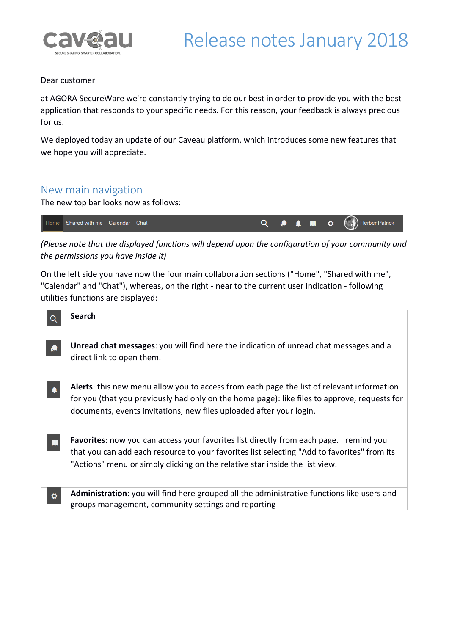

#### Dear customer

at AGORA SecureWare we're constantly trying to do our best in order to provide you with the best application that responds to your specific needs. For this reason, your feedback is always precious for us.

We deployed today an update of our Caveau platform, which introduces some new features that we hope you will appreciate.

### New main navigation

The new top bar looks now as follows:



*(Please note that the displayed functions will depend upon the configuration of your community and the permissions you have inside it)*

On the left side you have now the four main collaboration sections ("Home", "Shared with me", "Calendar" and "Chat"), whereas, on the right - near to the current user indication - following utilities functions are displayed:

|          | <b>Search</b>                                                                                                                                                                                                                                                          |
|----------|------------------------------------------------------------------------------------------------------------------------------------------------------------------------------------------------------------------------------------------------------------------------|
| $\Omega$ | <b>Unread chat messages:</b> you will find here the indication of unread chat messages and a<br>direct link to open them.                                                                                                                                              |
|          | Alerts: this new menu allow you to access from each page the list of relevant information<br>for you (that you previously had only on the home page): like files to approve, requests for<br>documents, events invitations, new files uploaded after your login.       |
| m        | Favorites: now you can access your favorites list directly from each page. I remind you<br>that you can add each resource to your favorites list selecting "Add to favorites" from its<br>"Actions" menu or simply clicking on the relative star inside the list view. |
| Ö        | Administration: you will find here grouped all the administrative functions like users and<br>groups management, community settings and reporting                                                                                                                      |